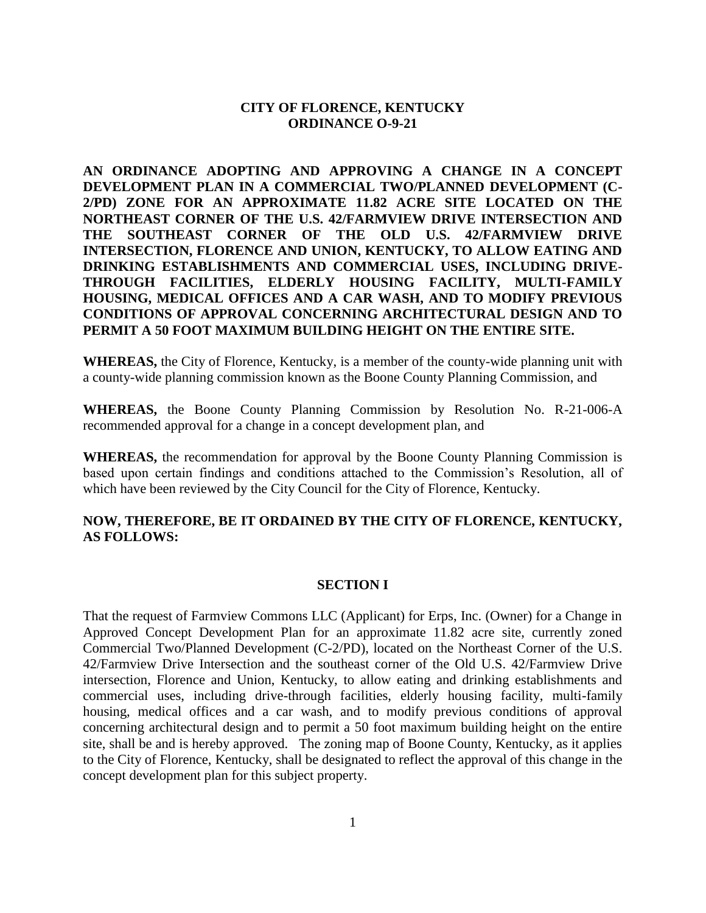## **CITY OF FLORENCE, KENTUCKY ORDINANCE O-9-21**

**AN ORDINANCE ADOPTING AND APPROVING A CHANGE IN A CONCEPT DEVELOPMENT PLAN IN A COMMERCIAL TWO/PLANNED DEVELOPMENT (C-2/PD) ZONE FOR AN APPROXIMATE 11.82 ACRE SITE LOCATED ON THE NORTHEAST CORNER OF THE U.S. 42/FARMVIEW DRIVE INTERSECTION AND THE SOUTHEAST CORNER OF THE OLD U.S. 42/FARMVIEW DRIVE INTERSECTION, FLORENCE AND UNION, KENTUCKY, TO ALLOW EATING AND DRINKING ESTABLISHMENTS AND COMMERCIAL USES, INCLUDING DRIVE-THROUGH FACILITIES, ELDERLY HOUSING FACILITY, MULTI-FAMILY HOUSING, MEDICAL OFFICES AND A CAR WASH, AND TO MODIFY PREVIOUS CONDITIONS OF APPROVAL CONCERNING ARCHITECTURAL DESIGN AND TO PERMIT A 50 FOOT MAXIMUM BUILDING HEIGHT ON THE ENTIRE SITE.**

**WHEREAS,** the City of Florence, Kentucky, is a member of the county-wide planning unit with a county-wide planning commission known as the Boone County Planning Commission, and

**WHEREAS,** the Boone County Planning Commission by Resolution No. R-21-006-A recommended approval for a change in a concept development plan, and

**WHEREAS,** the recommendation for approval by the Boone County Planning Commission is based upon certain findings and conditions attached to the Commission's Resolution, all of which have been reviewed by the City Council for the City of Florence, Kentucky.

## **NOW, THEREFORE, BE IT ORDAINED BY THE CITY OF FLORENCE, KENTUCKY, AS FOLLOWS:**

#### **SECTION I**

That the request of Farmview Commons LLC (Applicant) for Erps, Inc. (Owner) for a Change in Approved Concept Development Plan for an approximate 11.82 acre site, currently zoned Commercial Two/Planned Development (C-2/PD), located on the Northeast Corner of the U.S. 42/Farmview Drive Intersection and the southeast corner of the Old U.S. 42/Farmview Drive intersection, Florence and Union, Kentucky, to allow eating and drinking establishments and commercial uses, including drive-through facilities, elderly housing facility, multi-family housing, medical offices and a car wash, and to modify previous conditions of approval concerning architectural design and to permit a 50 foot maximum building height on the entire site, shall be and is hereby approved. The zoning map of Boone County, Kentucky, as it applies to the City of Florence, Kentucky, shall be designated to reflect the approval of this change in the concept development plan for this subject property.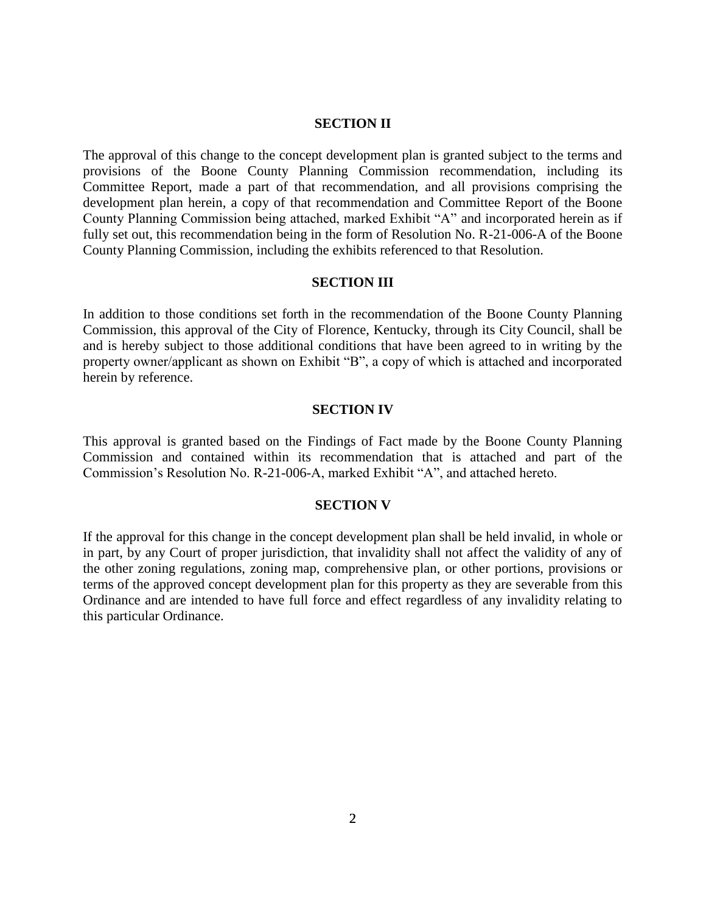### **SECTION II**

The approval of this change to the concept development plan is granted subject to the terms and provisions of the Boone County Planning Commission recommendation, including its Committee Report, made a part of that recommendation, and all provisions comprising the development plan herein, a copy of that recommendation and Committee Report of the Boone County Planning Commission being attached, marked Exhibit "A" and incorporated herein as if fully set out, this recommendation being in the form of Resolution No. R-21-006-A of the Boone County Planning Commission, including the exhibits referenced to that Resolution.

#### **SECTION III**

In addition to those conditions set forth in the recommendation of the Boone County Planning Commission, this approval of the City of Florence, Kentucky, through its City Council, shall be and is hereby subject to those additional conditions that have been agreed to in writing by the property owner/applicant as shown on Exhibit "B", a copy of which is attached and incorporated herein by reference.

#### **SECTION IV**

This approval is granted based on the Findings of Fact made by the Boone County Planning Commission and contained within its recommendation that is attached and part of the Commission's Resolution No. R-21-006-A, marked Exhibit "A", and attached hereto.

#### **SECTION V**

If the approval for this change in the concept development plan shall be held invalid, in whole or in part, by any Court of proper jurisdiction, that invalidity shall not affect the validity of any of the other zoning regulations, zoning map, comprehensive plan, or other portions, provisions or terms of the approved concept development plan for this property as they are severable from this Ordinance and are intended to have full force and effect regardless of any invalidity relating to this particular Ordinance.